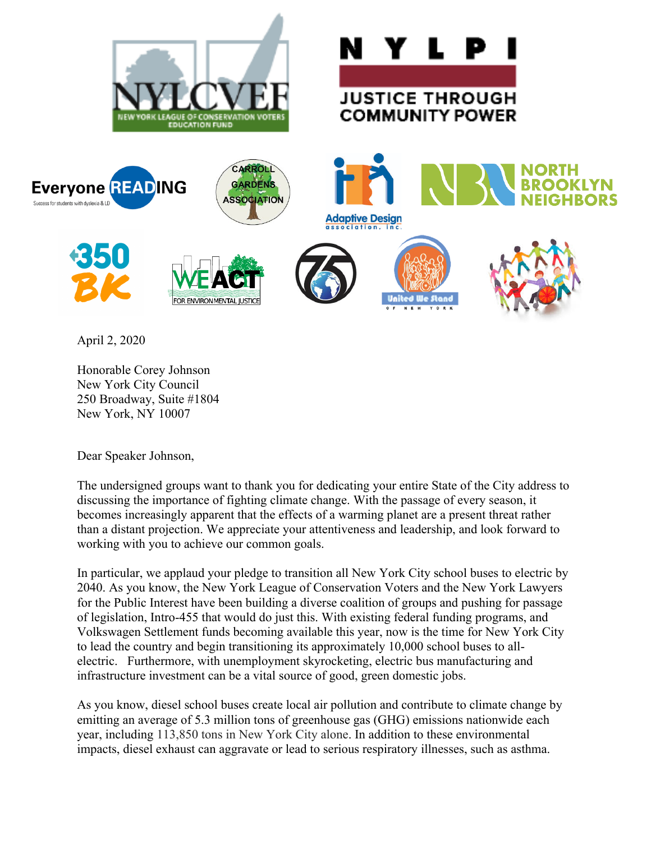

April 2, 2020

Honorable Corey Johnson New York City Council 250 Broadway, Suite #1804 New York, NY 10007

Dear Speaker Johnson,

The undersigned groups want to thank you for dedicating your entire State of the City address to discussing the importance of fighting climate change. With the passage of every season, it becomes increasingly apparent that the effects of a warming planet are a present threat rather than a distant projection. We appreciate your attentiveness and leadership, and look forward to working with you to achieve our common goals.

In particular, we applaud your pledge to transition all New York City school buses to electric by 2040. As you know, the New York League of Conservation Voters and the New York Lawyers for the Public Interest have been building a diverse coalition of groups and pushing for passage of legislation, Intro-455 that would do just this. With existing federal funding programs, and Volkswagen Settlement funds becoming available this year, now is the time for New York City to lead the country and begin transitioning its approximately 10,000 school buses to allelectric. Furthermore, with unemployment skyrocketing, electric bus manufacturing and infrastructure investment can be a vital source of good, green domestic jobs.

As you know, diesel school buses create local air pollution and contribute to climate change by emitting an average of 5.3 million tons of greenhouse gas (GHG) emissions nationwide each year, including 113,850 tons in New York City alone. In addition to these environmental impacts, diesel exhaust can aggravate or lead to serious respiratory illnesses, such as asthma.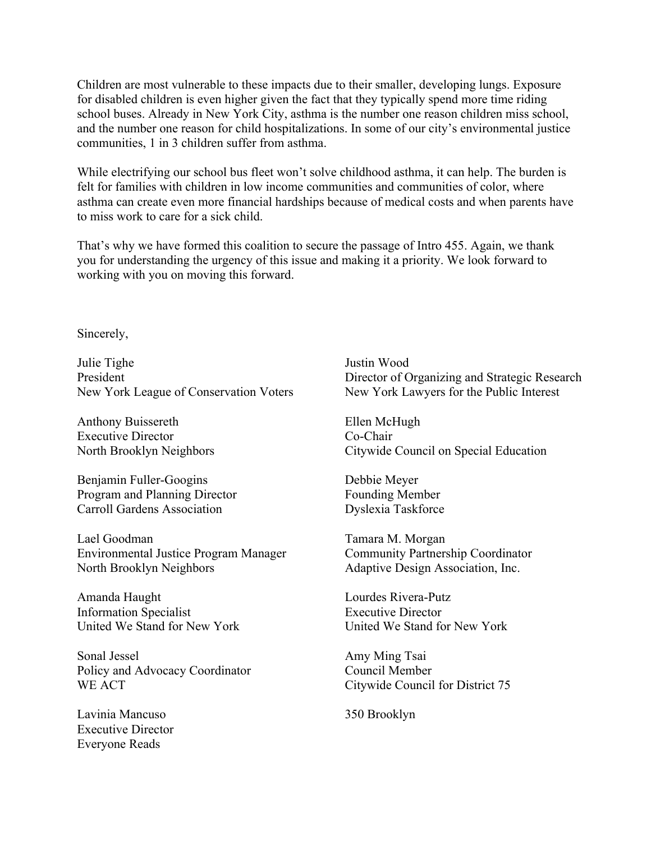Children are most vulnerable to these impacts due to their smaller, developing lungs. Exposure for disabled children is even higher given the fact that they typically spend more time riding school buses. Already in New York City, asthma is the number one reason children miss school, and the number one reason for child hospitalizations. In some of our city's environmental justice communities, 1 in 3 children suffer from asthma.

While electrifying our school bus fleet won't solve childhood asthma, it can help. The burden is felt for families with children in low income communities and communities of color, where asthma can create even more financial hardships because of medical costs and when parents have to miss work to care for a sick child.

That's why we have formed this coalition to secure the passage of Intro 455. Again, we thank you for understanding the urgency of this issue and making it a priority. We look forward to working with you on moving this forward.

Sincerely,

Julie Tighe President New York League of Conservation Voters

Anthony Buissereth Executive Director North Brooklyn Neighbors

Benjamin Fuller-Googins Program and Planning Director Carroll Gardens Association

Lael Goodman Environmental Justice Program Manager North Brooklyn Neighbors

Amanda Haught Information Specialist United We Stand for New York

Sonal Jessel Policy and Advocacy Coordinator WE ACT

Lavinia Mancuso Executive Director Everyone Reads

Justin Wood Director of Organizing and Strategic Research New York Lawyers for the Public Interest

Ellen McHugh Co-Chair Citywide Council on Special Education

Debbie Meyer Founding Member Dyslexia Taskforce

Tamara M. Morgan Community Partnership Coordinator Adaptive Design Association, Inc.

Lourdes Rivera-Putz Executive Director United We Stand for New York

Amy Ming Tsai Council Member Citywide Council for District 75

350 Brooklyn